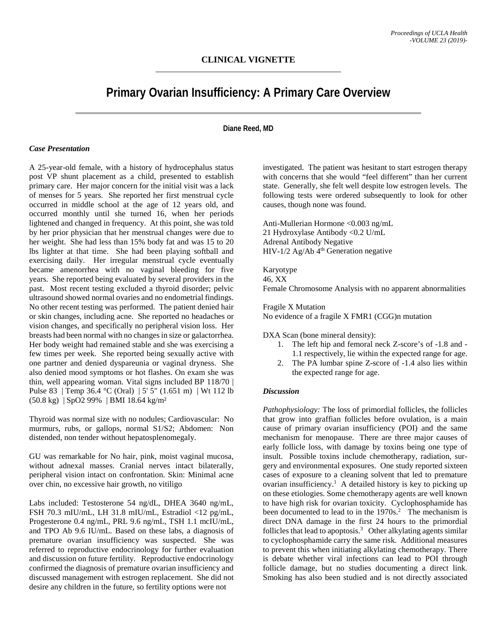# **Primary Ovarian Insufficiency: A Primary Care Overview**

## **Diane Reed, MD**

#### *Case Presentation*

A 25-year-old female, with a history of hydrocephalus status post VP shunt placement as a child, presented to establish primary care. Her major concern for the initial visit was a lack of menses for 5 years. She reported her first menstrual cycle occurred in middle school at the age of 12 years old, and occurred monthly until she turned 16, when her periods lightened and changed in frequency. At this point, she was told by her prior physician that her menstrual changes were due to her weight. She had less than 15% body fat and was 15 to 20 lbs lighter at that time. She had been playing softball and exercising daily. Her irregular menstrual cycle eventually became amenorrhea with no vaginal bleeding for five years. She reported being evaluated by several providers in the past. Most recent testing excluded a thyroid disorder; pelvic ultrasound showed normal ovaries and no endometrial findings. No other recent testing was performed. The patient denied hair or skin changes, including acne. She reported no headaches or vision changes, and specifically no peripheral vision loss. Her breasts had been normal with no changes in size or galactorrhea. Her body weight had remained stable and she was exercising a few times per week. She reported being sexually active with one partner and denied dyspareunia or vaginal dryness. She also denied mood symptoms or hot flashes. On exam she was thin, well appearing woman. Vital signs included BP 118/70 | Pulse 83 | Temp 36.4 °C (Oral) | 5' 5" (1.651 m) | Wt 112 lb (50.8 kg) | SpO2 99% | BMI 18.64 kg/m²

Thyroid was normal size with no nodules; Cardiovascular: No murmurs, rubs, or gallops, normal S1/S2; Abdomen: Non distended, non tender without hepatosplenomegaly.

GU was remarkable for No hair, pink, moist vaginal mucosa, without adnexal masses. Cranial nerves intact bilaterally, peripheral vision intact on confrontation. Skin: Minimal acne over chin, no excessive hair growth, no vitiligo

Labs included: Testosterone 54 ng/dL, DHEA 3640 ng/mL, FSH 70.3 mIU/mL, LH 31.8 mIU/mL, Estradiol <12 pg/mL, Progesterone 0.4 ng/mL, PRL 9.6 ng/mL, TSH 1.1 mcIU/mL, and TPO Ab 9.6 IU/mL. Based on these labs, a diagnosis of premature ovarian insufficiency was suspected. She was referred to reproductive endocrinology for further evaluation and discussion on future fertility. Reproductive endocrinology confirmed the diagnosis of premature ovarian insufficiency and discussed management with estrogen replacement. She did not desire any children in the future, so fertility options were not

investigated. The patient was hesitant to start estrogen therapy with concerns that she would "feel different" than her current state. Generally, she felt well despite low estrogen levels. The following tests were ordered subsequently to look for other causes, though none was found.

Anti-Mullerian Hormone <0.003 ng/mL 21 Hydroxylase Antibody <0.2 U/mL Adrenal Antibody Negative HIV-1/2 Ag/Ab  $4<sup>th</sup>$  Generation negative

Karyotype 46, XX Female Chromosome Analysis with no apparent abnormalities

Fragile X Mutation No evidence of a fragile X FMR1 (CGG)n mutation

DXA Scan (bone mineral density):

- 1. The left hip and femoral neck Z-score's of -1.8 and 1.1 respectively, lie within the expected range for age.
- 2. The PA lumbar spine Z-score of -1.4 also lies within the expected range for age.

#### *Discussion*

*Pathophysiology:* The loss of primordial follicles, the follicles that grow into graffian follicles before ovulation, is a main cause of primary ovarian insufficiency (POI) and the same mechanism for menopause. There are three major causes of early follicle loss, with damage by toxins being one type of insult. Possible toxins include chemotherapy, radiation, surgery and environmental exposures. One study reported sixteen cases of exposure to a cleaning solvent that led to premature ovarian insufficiency. <sup>1</sup> A detailed history is key to picking up on these etiologies. Some chemotherapy agents are well known to have high risk for ovarian toxicity. Cyclophosphamide has been documented to lead to in the 1970s. 2 The mechanism is direct DNA damage in the first 24 hours to the primordial follicles that lead to apoptosis.<sup>3</sup> Other alkylating agents similar to cyclophosphamide carry the same risk. Additional measures to prevent this when initiating alkylating chemotherapy. There is debate whether viral infections can lead to POI through follicle damage, but no studies documenting a direct link. Smoking has also been studied and is not directly associated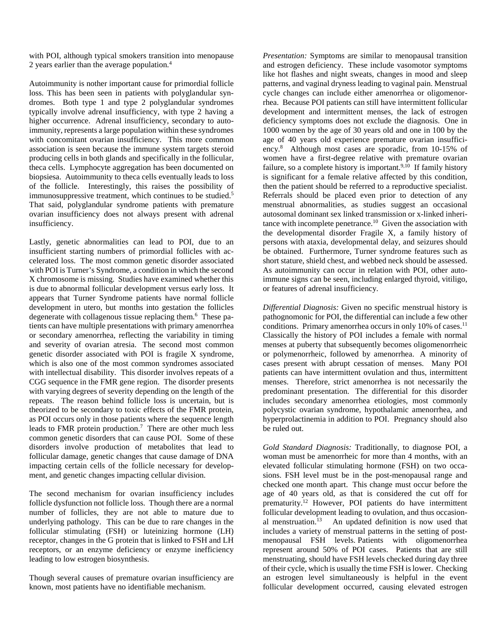with POI, although typical smokers transition into menopause 2 years earlier than the average population. 4

Autoimmunity is nother important cause for primordial follicle loss. This has been seen in patients with polyglandular syndromes. Both type 1 and type 2 polyglandular syndromes typically involve adrenal insufficiency, with type 2 having a higher occurrence. Adrenal insufficiency, secondary to autoimmunity, represents a large population within these syndromes with concomitant ovarian insufficiency. This more common association is seen because the immune system targets steroid producing cells in both glands and specifically in the follicular, theca cells. Lymphocyte aggregation has been documented on biopsiesa. Autoimmunity to theca cells eventually leads to loss of the follicle. Interestingly, this raises the possibility of immunosuppressive treatment, which continues to be studied.<sup>5</sup> That said, polyglandular syndrome patients with premature ovarian insufficiency does not always present with adrenal insufficiency.

Lastly, genetic abnormalities can lead to POI, due to an insufficient starting numbers of primordial follicles with accelerated loss. The most common genetic disorder associated with POI is Turner's Syndrome, a condition in which the second X chromosome is missing. Studies have examined whether this is due to abnormal follicular development versus early loss. It appears that Turner Syndrome patients have normal follicle development in utero, but months into gestation the follicles degenerate with collagenous tissue replacing them.<sup>6</sup> These patients can have multiple presentations with primary amenorrhea or secondary amenorrhea, reflecting the variability in timing and severity of ovarian atresia. The second most common genetic disorder associated with POI is fragile X syndrome, which is also one of the most common syndromes associated with intellectual disability. This disorder involves repeats of a CGG sequence in the FMR gene region. The disorder presents with varying degrees of severity depending on the length of the repeats. The reason behind follicle loss is uncertain, but is theorized to be secondary to toxic effects of the FMR protein, as POI occurs only in those patients where the sequence length leads to FMR protein production.<sup>7</sup> There are other much less common genetic disorders that can cause POI. Some of these disorders involve production of metabolites that lead to follicular damage, genetic changes that cause damage of DNA impacting certain cells of the follicle necessary for development, and genetic changes impacting cellular division.

The second mechanism for ovarian insufficiency includes follicle dysfunction not follicle loss. Though there are a normal number of follicles, they are not able to mature due to underlying pathology. This can be due to rare changes in the follicular stimulating (FSH) or luteinizing hormone (LH) receptor, changes in the G protein that is linked to FSH and LH receptors, or an enzyme deficiency or enzyme inefficiency leading to low estrogen biosynthesis.

Though several causes of premature ovarian insufficiency are known, most patients have no identifiable mechanism.

*Presentation:* Symptoms are similar to menopausal transition and estrogen deficiency. These include vasomotor symptoms like hot flashes and night sweats, changes in mood and sleep patterns, and vaginal dryness leading to vaginal pain. Menstrual cycle changes can include either amenorrhea or oligomenorrhea. Because POI patients can still have intermittent follicular development and intermittent menses, the lack of estrogen deficiency symptoms does not exclude the diagnosis. One in 1000 women by the age of 30 years old and one in 100 by the age of 40 years old experience premature ovarian insufficiency. 8 Although most cases are sporadic, from 10-15% of women have a first-degree relative with premature ovarian failure, so a complete history is important.<sup>9,10</sup> If family history is significant for a female relative affected by this condition, then the patient should be referred to a reproductive specialist. Referrals should be placed even prior to detection of any menstrual abnormalities, as studies suggest an occasional autosomal dominant sex linked transmission or x-linked inheritance with incomplete penetrance.<sup>10</sup> Given the association with the developmental disorder Fragile X, a family history of persons with ataxia, developmental delay, and seizures should be obtained. Furthermore, Turner syndrome features such as short stature, shield chest, and webbed neck should be assessed. As autoimmunity can occur in relation with POI, other autoimmune signs can be seen, including enlarged thyroid, vitiligo, or features of adrenal insufficiency.

*Differential Diagnosis:* Given no specific menstrual history is pathognomonic for POI, the differential can include a few other conditions. Primary amenorrhea occurs in only 10% of cases.<sup>11</sup> Classically the history of POI includes a female with normal menses at puberty that subsequently becomes oligomenorrheic or polymenorrheic, followed by amenorrhea. A minority of cases present with abrupt cessation of menses. Many POI patients can have intermittent ovulation and thus, intermittent menses. Therefore, strict amenorrhea is not necessarily the predominant presentation. The differential for this disorder includes secondary amenorrhea etiologies, most commonly polycystic ovarian syndrome, hypothalamic amenorrhea, and hyperprolactinemia in addition to POI. Pregnancy should also be ruled out.

*Gold Standard Diagnosis:* Traditionally, to diagnose POI, a woman must be amenorrheic for more than 4 months, with an elevated follicular stimulating hormone (FSH) on two occasions. FSH level must be in the post-menopausal range and checked one month apart. This change must occur before the age of 40 years old, as that is considered the cut off for prematurity.<sup>12</sup> However, POI patients do have intermittent follicular development leading to ovulation, and thus occasional menstruation. 13 An updated definition is now used that includes a variety of menstrual patterns in the setting of postmenopausal FSH levels. Patients with oligomenorrhea represent around 50% of POI cases. Patients that are still menstruating, should have FSH levels checked during day three of their cycle, which is usually the time FSH is lower. Checking an estrogen level simultaneously is helpful in the event follicular development occurred, causing elevated estrogen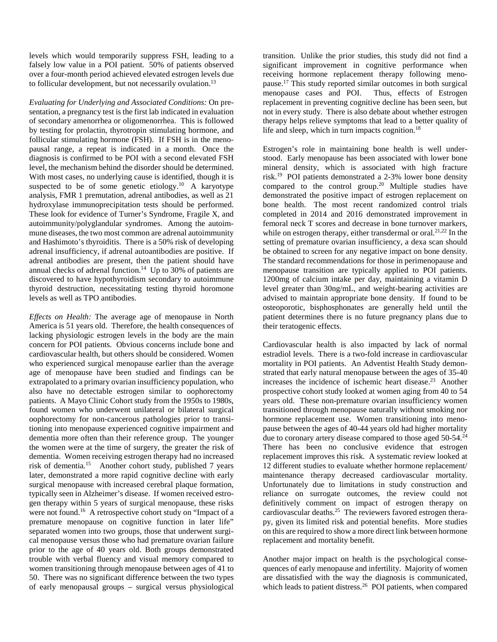levels which would temporarily suppress FSH, leading to a falsely low value in a POI patient. 50% of patients observed over a four-month period achieved elevated estrogen levels due to follicular development, but not necessarily ovulation.<sup>13</sup>

*Evaluating for Underlying and Associated Conditions:* On presentation, a pregnancy test is the first lab indicated in evaluation of secondary amenorrhea or oligomenorrhea. This is followed by testing for prolactin, thyrotropin stimulating hormone, and follicular stimulating hormone (FSH). If FSH is in the menopausal range, a repeat is indicated in a month. Once the diagnosis is confirmed to be POI with a second elevated FSH level, the mechanism behind the disorder should be determined. With most cases, no underlying cause is identified, though it is suspected to be of some genetic etiology.<sup>10</sup> A karyotype analysis, FMR 1 premutation, adrenal antibodies, as well as 21 hydroxylase immunoprecipitation tests should be performed. These look for evidence of Turner's Syndrome, Fragile X, and autoimmunity/polyglandular syndromes. Among the autoimmune diseases, the two most common are adrenal autoimmunity and Hashimoto's thyroiditis. There is a 50% risk of developing adrenal insufficiency, if adrenal autoantibodies are positive. If adrenal antibodies are present, then the patient should have annual checks of adrenal function. <sup>14</sup> Up to 30% of patients are discovered to have hypothyroidism secondary to autoimmune thyroid destruction, necessitating testing thyroid horomone levels as well as TPO antibodies.

*Effects on Health:* The average age of menopause in North America is 51 years old. Therefore, the health consequences of lacking physiologic estrogen levels in the body are the main concern for POI patients. Obvious concerns include bone and cardiovascular health, but others should be considered. Women who experienced surgical menopause earlier than the average age of menopause have been studied and findings can be extrapolated to a primary ovarian insufficiency population, who also have no detectable estrogen similar to oophorectomy patients. A Mayo Clinic Cohort study from the 1950s to 1980s, found women who underwent unilateral or bilateral surgical oophorectomy for non-cancerous pathologies prior to transitioning into menopause experienced cognitive impairment and dementia more often than their reference group. The younger the women were at the time of surgery, the greater the risk of dementia. Women receiving estrogen therapy had no increased risk of dementia. 15 Another cohort study, published 7 years later, demonstrated a more rapid cognitive decline with early surgical menopause with increased cerebral plaque formation, typically seen in Alzheimer's disease. If women received estrogen therapy within 5 years of surgical menopause, these risks were not found.<sup>16</sup> A retrospective cohort study on "Impact of a premature menopause on cognitive function in later life" separated women into two groups, those that underwent surgical menopause versus those who had premature ovarian failure prior to the age of 40 years old. Both groups demonstrated trouble with verbal fluency and visual memory compared to women transitioning through menopause between ages of 41 to 50. There was no significant difference between the two types of early menopausal groups – surgical versus physiological

transition. Unlike the prior studies, this study did not find a significant improvement in cognitive performance when receiving hormone replacement therapy following menopause. <sup>17</sup> This study reported similar outcomes in both surgical menopause cases and POI. Thus, effects of Estrogen replacement in preventing cognitive decline has been seen, but not in every study. There is also debate about whether estrogen therapy helps relieve symptoms that lead to a better quality of life and sleep, which in turn impacts cognition. $18$ 

Estrogen's role in maintaining bone health is well understood. Early menopause has been associated with lower bone mineral density, which is associated with high fracture risk. <sup>19</sup> POI patients demonstrated a 2-3% lower bone density compared to the control group. <sup>20</sup> Multiple studies have demonstrated the positive impact of estrogen replacement on bone health. The most recent randomized control trials completed in 2014 and 2016 demonstrated improvement in femoral neck T scores and decrease in bone turnover markers, while on estrogen therapy, either transdermal or oral.<sup>21,22</sup> In the setting of premature ovarian insufficiency, a dexa scan should be obtained to screen for any negative impact on bone density. The standard recommendations for those in perimenopause and menopause transition are typically applied to POI patients. 1200mg of calcium intake per day, maintaining a vitamin D level greater than 30ng/mL, and weight-bearing activities are advised to maintain appropriate bone density. If found to be osteoporotic, bisphosphonates are generally held until the patient determines there is no future pregnancy plans due to their teratogenic effects.

Cardiovascular health is also impacted by lack of normal estradiol levels. There is a two-fold increase in cardiovascular mortality in POI patients. An Adventist Health Study demonstrated that early natural menopause between the ages of 35-40 increases the incidence of ischemic heart disease. <sup>23</sup> Another prospective cohort study looked at women aging from 40 to 54 years old. These non-premature ovarian insufficiency women transitioned through menopause naturally without smoking nor hormone replacement use. Women transitioning into menopause between the ages of 40-44 years old had higher mortality due to coronary artery disease compared to those aged 50-54.<sup>24</sup> There has been no conclusive evidence that estrogen replacement improves this risk. A systematic review looked at 12 different studies to evaluate whether hormone replacement/ maintenance therapy decreased cardiovascular mortality. Unfortunately due to limitations in study construction and reliance on surrogate outcomes, the review could not definitively comment on impact of estrogen therapy on cardiovascular deaths. <sup>25</sup> The reviewers favored estrogen therapy, given its limited risk and potential benefits. More studies on this are required to show a more direct link between hormone replacement and mortality benefit.

Another major impact on health is the psychological consequences of early menopause and infertility. Majority of women are dissatisfied with the way the diagnosis is communicated, which leads to patient distress. <sup>26</sup> POI patients, when compared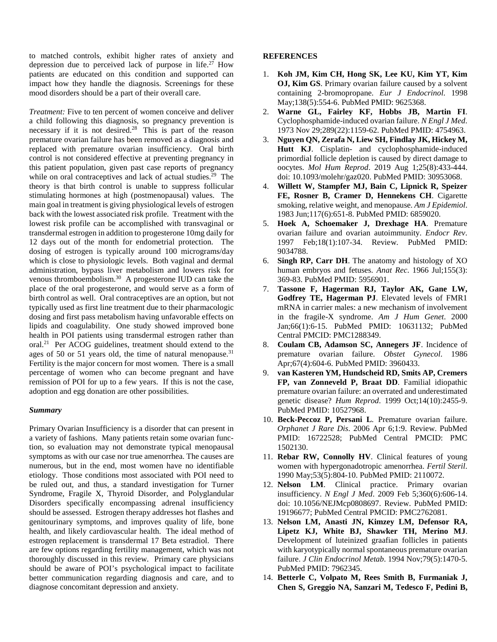to matched controls, exhibit higher rates of anxiety and depression due to perceived lack of purpose in life. <sup>27</sup> How patients are educated on this condition and supported can impact how they handle the diagnosis. Screenings for these mood disorders should be a part of their overall care.

*Treatment:* Five to ten percent of women conceive and deliver a child following this diagnosis, so pregnancy prevention is necessary if it is not desired. <sup>28</sup> This is part of the reason premature ovarian failure has been removed as a diagnosis and replaced with premature ovarian insufficiency. Oral birth control is not considered effective at preventing pregnancy in this patient population, given past case reports of pregnancy while on oral contraceptives and lack of actual studies.<sup>29</sup> The theory is that birth control is unable to suppress follicular stimulating hormones at high (postmenopausal) values. The main goal in treatment is giving physiological levels of estrogen back with the lowest associated risk profile. Treatment with the lowest risk profile can be accomplished with transvaginal or transdermal estrogen in addition to progesterone 10mg daily for 12 days out of the month for endometrial protection. The dosing of estrogen is typically around 100 micrograms/day which is close to physiologic levels. Both vaginal and dermal administration, bypass liver metabolism and lowers risk for venous thromboembolism. 30 A progesterone IUD can take the place of the oral progesterone, and would serve as a form of birth control as well. Oral contraceptives are an option, but not typically used as first line treatment due to their pharmacologic dosing and first pass metabolism having unfavorable effects on lipids and coagulability. One study showed improved bone health in POI patients using transdermal estrogen rather than oral. 21 Per ACOG guidelines, treatment should extend to the ages of 50 or 51 years old, the time of natural menopause.<sup>31</sup> Fertility is the major concern for most women. There is a small percentage of women who can become pregnant and have remission of POI for up to a few years. If this is not the case, adoption and egg donation are other possibilities.

### *Summary*

Primary Ovarian Insufficiency is a disorder that can present in a variety of fashions. Many patients retain some ovarian function, so evaluation may not demonstrate typical menopausal symptoms as with our case nor true amenorrhea. The causes are numerous, but in the end, most women have no identifiable etiology. Those conditions most associated with POI need to be ruled out, and thus, a standard investigation for Turner Syndrome, Fragile X, Thyroid Disorder, and Polyglandular Disorders specifically encompassing adrenal insufficiency should be assessed. Estrogen therapy addresses hot flashes and genitourinary symptoms, and improves quality of life, bone health, and likely cardiovascular health. The ideal method of estrogen replacement is transdermal 17 Beta estradiol. There are few options regarding fertility management, which was not thoroughly discussed in this review. Primary care physicians should be aware of POI's psychological impact to facilitate better communication regarding diagnosis and care, and to diagnose concomitant depression and anxiety.

#### **REFERENCES**

- 1. **Koh JM, Kim CH, Hong SK, Lee KU, Kim YT, Kim OJ, Kim GS**. Primary ovarian failure caused by a solvent containing 2-bromopropane. *Eur J Endocrinol*. 1998 May;138(5):554-6. PubMed PMID: 9625368.
- 2. **Warne GL, Fairley KF, Hobbs JB, Martin FI**. Cyclophosphamide-induced ovarian failure. *N Engl J Med*. 1973 Nov 29;289(22):1159-62. PubMed PMID: 4754963.
- 3. **Nguyen QN, Zerafa N, Liew SH, Findlay JK, Hickey M, Hutt KJ**. Cisplatin- and cyclophosphamide-induced primordial follicle depletion is caused by direct damage to oocytes. *Mol Hum Reprod*. 2019 Aug 1;25(8):433-444. doi: 10.1093/molehr/gaz020. PubMed PMID: 30953068.
- 4. **Willett W, Stampfer MJ, Bain C, Lipnick R, Speizer FE, Rosner B, Cramer D, Hennekens CH**. Cigarette smoking, relative weight, and menopause. *Am J Epidemiol*. 1983 Jun;117(6):651-8. PubMed PMID: 6859020.
- 5. **Hoek A, Schoemaker J, Drexhage HA**. Premature ovarian failure and ovarian autoimmunity. *Endocr Rev*. 1997 Feb;18(1):107-34. Review. PubMed PMID: 9034788.
- 6. **Singh RP, Carr DH**. The anatomy and histology of XO human embryos and fetuses. *Anat Rec*. 1966 Jul;155(3): 369-83. PubMed PMID: 5956901.
- 7. **Tassone F, Hagerman RJ, Taylor AK, Gane LW, Godfrey TE, Hagerman PJ**. Elevated levels of FMR1 mRNA in carrier males: a new mechanism of involvement in the fragile-X syndrome. *Am J Hum Genet*. 2000 Jan;66(1):6-15. PubMed PMID: 10631132; PubMed Central PMCID: PMC1288349.
- 8. **Coulam CB, Adamson SC, Annegers JF**. Incidence of premature ovarian failure. *Obstet Gynecol*. 1986 Apr;67(4):604-6. PubMed PMID: 3960433.
- 9. **van Kasteren YM, Hundscheid RD, Smits AP, Cremers FP, van Zonneveld P, Braat DD**. Familial idiopathic premature ovarian failure: an overrated and underestimated genetic disease? *Hum Reprod*. 1999 Oct;14(10):2455-9. PubMed PMID: 10527968.
- 10. **Beck-Peccoz P, Persani L**. Premature ovarian failure. *Orphanet J Rare Dis*. 2006 Apr 6;1:9. Review. PubMed PMID: 16722528; PubMed Central PMCID: PMC 1502130.
- 11. **Rebar RW, Connolly HV**. Clinical features of young women with hypergonadotropic amenorrhea. *Fertil Steril*. 1990 May;53(5):804-10. PubMed PMID: 2110072.
- 12. **Nelson LM**. Clinical practice. Primary ovarian insufficiency. *N Engl J Med*. 2009 Feb 5;360(6):606-14. doi: 10.1056/NEJMcp0808697. Review. PubMed PMID: 19196677; PubMed Central PMCID: PMC2762081.
- 13. **Nelson LM, Anasti JN, Kimzey LM, Defensor RA, Lipetz KJ, White BJ, Shawker TH, Merino MJ**. Development of luteinized graafian follicles in patients with karyotypically normal spontaneous premature ovarian failure. *J Clin Endocrinol Metab*. 1994 Nov;79(5):1470-5. PubMed PMID: 7962345.
- 14. **Betterle C, Volpato M, Rees Smith B, Furmaniak J, Chen S, Greggio NA, Sanzari M, Tedesco F, Pedini B,**